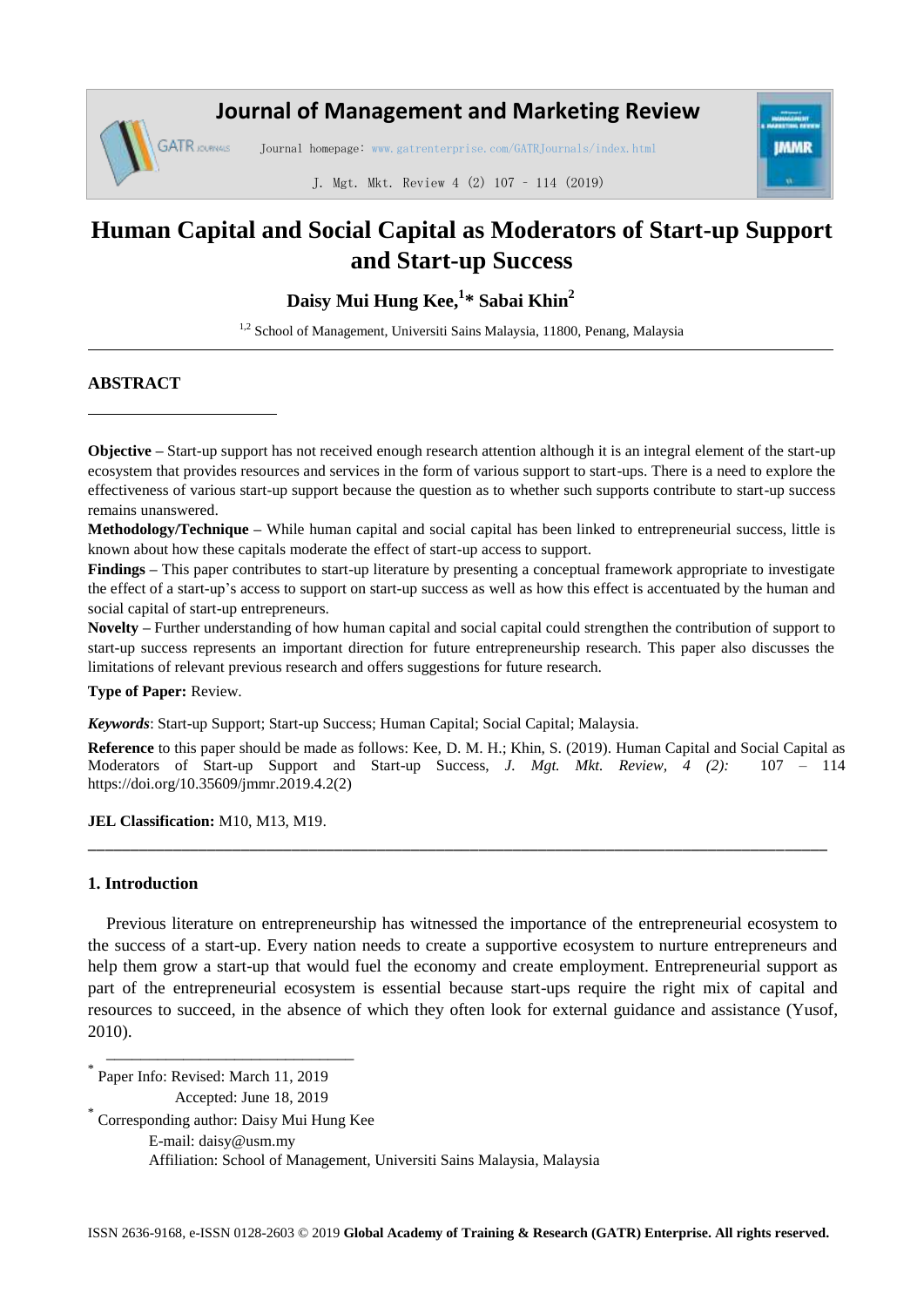## **Journal of Management and Marketing Review**

Journal homepage: www.gatrenterprise.com/GATRJournals/index.html



J. Mgt. Mkt. Review 4 (2) 107 – 114 (2019)

# **Human Capital and Social Capital as Moderators of Start-up Support and Start-up Success**

**Daisy Mui Hung Kee, 1 \* Sabai Khin<sup>2</sup>**

<sup>1,2</sup> School of Management, Universiti Sains Malaysia, 11800, Penang, Malaysia

## **ABSTRACT**

**GATR** JOURNALS

**Objective** – Start-up support has not received enough research attention although it is an integral element of the start-up ecosystem that provides resources and services in the form of various support to start-ups. There is a need to explore the effectiveness of various start-up support because the question as to whether such supports contribute to start-up success remains unanswered.

**Methodology/Technique –** While human capital and social capital has been linked to entrepreneurial success, little is known about how these capitals moderate the effect of start-up access to support.

**Findings –** This paper contributes to start-up literature by presenting a conceptual framework appropriate to investigate the effect of a start-up's access to support on start-up success as well as how this effect is accentuated by the human and social capital of start-up entrepreneurs.

**Novelty –** Further understanding of how human capital and social capital could strengthen the contribution of support to start-up success represents an important direction for future entrepreneurship research. This paper also discusses the limitations of relevant previous research and offers suggestions for future research.

**Type of Paper:** Review.

*Keywords*: Start-up Support; Start-up Success; Human Capital; Social Capital; Malaysia.

**Reference** to this paper should be made as follows: Kee, D. M. H.; Khin, S. (2019). Human Capital and Social Capital as Moderators of Start-up Support and Start-up Success, *J. Mgt. Mkt. Review, 4 (2):* 107 – 114 https://doi.org/10.35609/jmmr.2019.4.2(2)

\_\_\_\_\_\_\_\_\_\_\_\_\_\_\_\_\_\_\_\_\_\_\_\_\_\_\_\_\_\_\_\_\_\_\_\_\_\_\_\_\_\_\_\_\_\_\_\_\_\_\_\_\_\_\_\_\_\_\_\_\_\_\_\_\_\_\_\_\_\_\_\_\_\_\_\_\_\_\_\_\_\_\_\_\_\_\_

**JEL Classification:** M10, M13, M19.

## **1. Introduction**

Previous literature on entrepreneurship has witnessed the importance of the entrepreneurial ecosystem to the success of a start-up. Every nation needs to create a supportive ecosystem to nurture entrepreneurs and help them grow a start-up that would fuel the economy and create employment. Entrepreneurial support as part of the entrepreneurial ecosystem is essential because start-ups require the right mix of capital and resources to succeed, in the absence of which they often look for external guidance and assistance (Yusof, 2010).

\* Paper Info: Revised: March 11, 2019 Accepted: June 18, 2019

\* Corresponding author: Daisy Mui Hung Kee

\_\_\_\_\_\_\_\_\_\_\_\_\_\_\_\_\_\_\_\_\_\_\_\_\_\_\_\_\_

E-mail: daisy@usm.my

Affiliation: School of Management, Universiti Sains Malaysia, Malaysia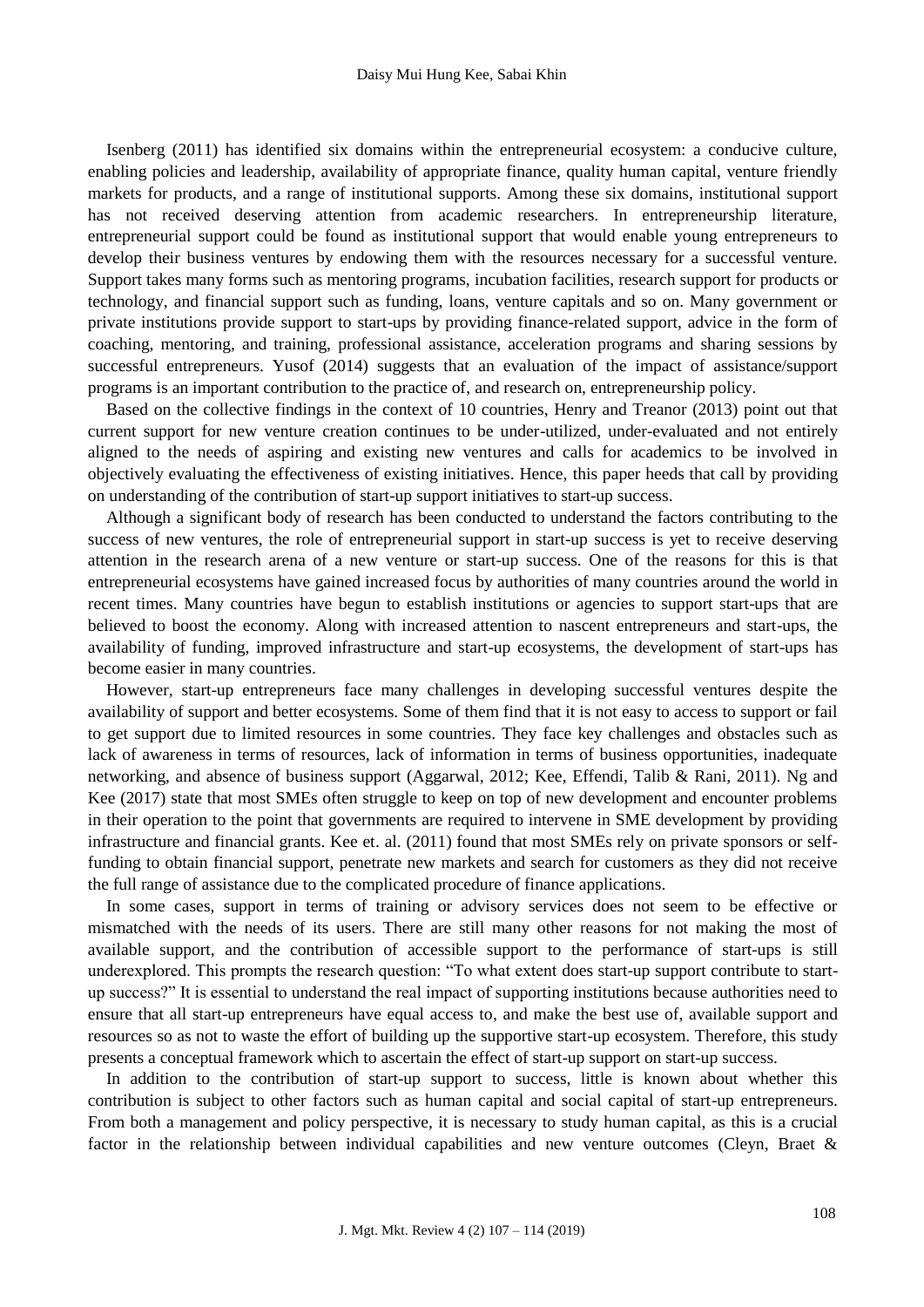Isenberg (2011) has identified six domains within the entrepreneurial ecosystem: a conducive culture, enabling policies and leadership, availability of appropriate finance, quality human capital, venture friendly markets for products, and a range of institutional supports. Among these six domains, institutional support has not received deserving attention from academic researchers. In entrepreneurship literature, entrepreneurial support could be found as institutional support that would enable young entrepreneurs to develop their business ventures by endowing them with the resources necessary for a successful venture. Support takes many forms such as mentoring programs, incubation facilities, research support for products or technology, and financial support such as funding, loans, venture capitals and so on. Many government or private institutions provide support to start-ups by providing finance-related support, advice in the form of coaching, mentoring, and training, professional assistance, acceleration programs and sharing sessions by successful entrepreneurs. Yusof (2014) suggests that an evaluation of the impact of assistance/support programs is an important contribution to the practice of, and research on, entrepreneurship policy.

Based on the collective findings in the context of 10 countries, Henry and Treanor (2013) point out that current support for new venture creation continues to be under-utilized, under-evaluated and not entirely aligned to the needs of aspiring and existing new ventures and calls for academics to be involved in objectively evaluating the effectiveness of existing initiatives. Hence, this paper heeds that call by providing on understanding of the contribution of start-up support initiatives to start-up success.

Although a significant body of research has been conducted to understand the factors contributing to the success of new ventures, the role of entrepreneurial support in start-up success is yet to receive deserving attention in the research arena of a new venture or start-up success. One of the reasons for this is that entrepreneurial ecosystems have gained increased focus by authorities of many countries around the world in recent times. Many countries have begun to establish institutions or agencies to support start-ups that are believed to boost the economy. Along with increased attention to nascent entrepreneurs and start-ups, the availability of funding, improved infrastructure and start-up ecosystems, the development of start-ups has become easier in many countries.

However, start-up entrepreneurs face many challenges in developing successful ventures despite the availability of support and better ecosystems. Some of them find that it is not easy to access to support or fail to get support due to limited resources in some countries. They face key challenges and obstacles such as lack of awareness in terms of resources, lack of information in terms of business opportunities, inadequate networking, and absence of business support (Aggarwal, 2012; Kee, Effendi, Talib & Rani, 2011). Ng and Kee (2017) state that most SMEs often struggle to keep on top of new development and encounter problems in their operation to the point that governments are required to intervene in SME development by providing infrastructure and financial grants. Kee et. al. (2011) found that most SMEs rely on private sponsors or selffunding to obtain financial support, penetrate new markets and search for customers as they did not receive the full range of assistance due to the complicated procedure of finance applications.

In some cases, support in terms of training or advisory services does not seem to be effective or mismatched with the needs of its users. There are still many other reasons for not making the most of available support, and the contribution of accessible support to the performance of start-ups is still underexplored. This prompts the research question: "To what extent does start-up support contribute to startup success?" It is essential to understand the real impact of supporting institutions because authorities need to ensure that all start-up entrepreneurs have equal access to, and make the best use of, available support and resources so as not to waste the effort of building up the supportive start-up ecosystem. Therefore, this study presents a conceptual framework which to ascertain the effect of start-up support on start-up success.

In addition to the contribution of start-up support to success, little is known about whether this contribution is subject to other factors such as human capital and social capital of start-up entrepreneurs. From both a management and policy perspective, it is necessary to study human capital, as this is a crucial factor in the relationship between individual capabilities and new venture outcomes (Cleyn, Braet &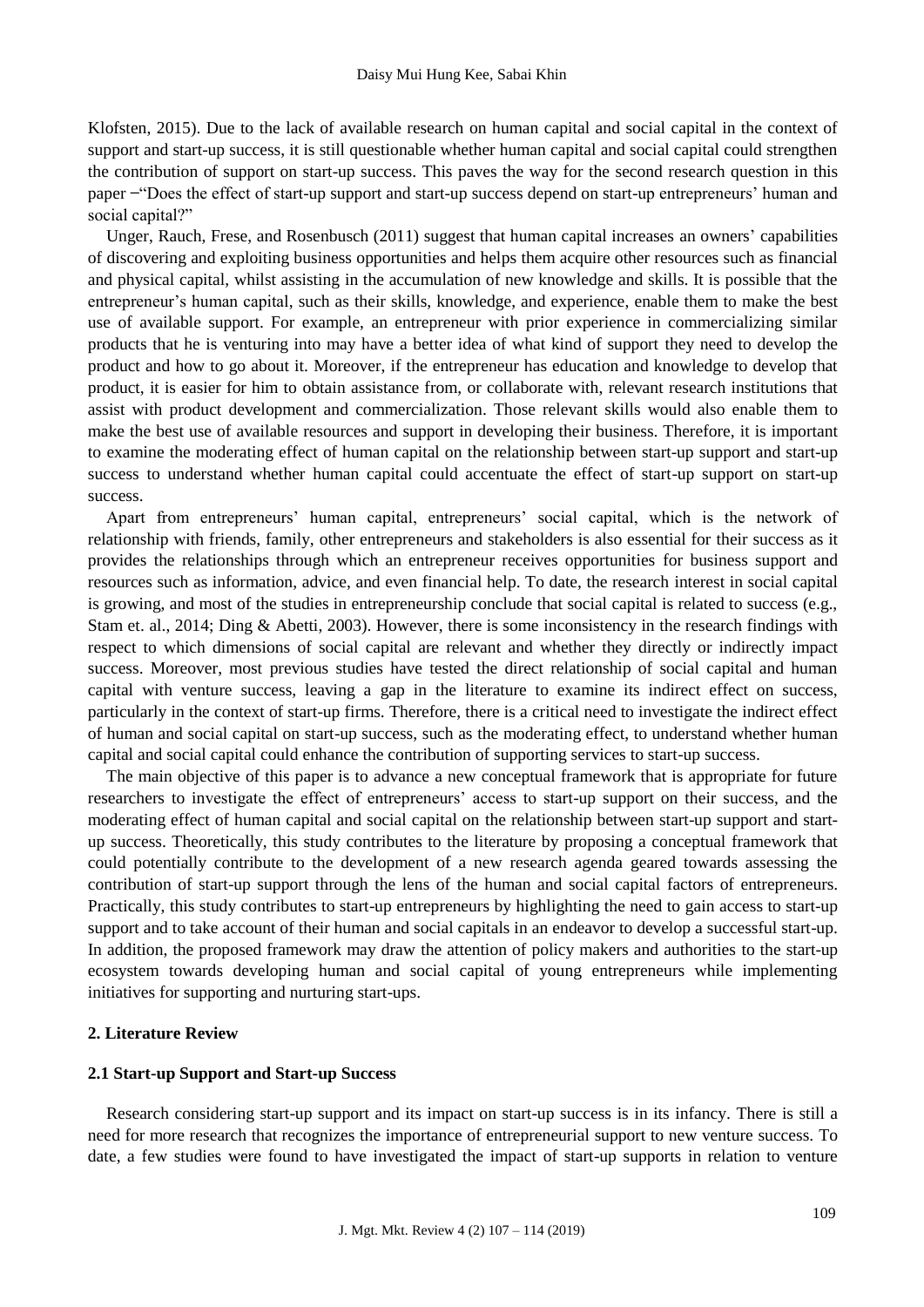Klofsten, 2015). Due to the lack of available research on human capital and social capital in the context of support and start-up success, it is still questionable whether human capital and social capital could strengthen the contribution of support on start-up success. This paves the way for the second research question in this paper - "Does the effect of start-up support and start-up success depend on start-up entrepreneurs' human and social capital?"

Unger, Rauch, Frese, and Rosenbusch (2011) suggest that human capital increases an owners' capabilities of discovering and exploiting business opportunities and helps them acquire other resources such as financial and physical capital, whilst assisting in the accumulation of new knowledge and skills. It is possible that the entrepreneur's human capital, such as their skills, knowledge, and experience, enable them to make the best use of available support. For example, an entrepreneur with prior experience in commercializing similar products that he is venturing into may have a better idea of what kind of support they need to develop the product and how to go about it. Moreover, if the entrepreneur has education and knowledge to develop that product, it is easier for him to obtain assistance from, or collaborate with, relevant research institutions that assist with product development and commercialization. Those relevant skills would also enable them to make the best use of available resources and support in developing their business. Therefore, it is important to examine the moderating effect of human capital on the relationship between start-up support and start-up success to understand whether human capital could accentuate the effect of start-up support on start-up success.

Apart from entrepreneurs' human capital, entrepreneurs' social capital, which is the network of relationship with friends, family, other entrepreneurs and stakeholders is also essential for their success as it provides the relationships through which an entrepreneur receives opportunities for business support and resources such as information, advice, and even financial help. To date, the research interest in social capital is growing, and most of the studies in entrepreneurship conclude that social capital is related to success (e.g., Stam et. al., 2014; Ding & Abetti, 2003). However, there is some inconsistency in the research findings with respect to which dimensions of social capital are relevant and whether they directly or indirectly impact success. Moreover, most previous studies have tested the direct relationship of social capital and human capital with venture success, leaving a gap in the literature to examine its indirect effect on success, particularly in the context of start-up firms. Therefore, there is a critical need to investigate the indirect effect of human and social capital on start-up success, such as the moderating effect, to understand whether human capital and social capital could enhance the contribution of supporting services to start-up success.

The main objective of this paper is to advance a new conceptual framework that is appropriate for future researchers to investigate the effect of entrepreneurs' access to start-up support on their success, and the moderating effect of human capital and social capital on the relationship between start-up support and startup success. Theoretically, this study contributes to the literature by proposing a conceptual framework that could potentially contribute to the development of a new research agenda geared towards assessing the contribution of start-up support through the lens of the human and social capital factors of entrepreneurs. Practically, this study contributes to start-up entrepreneurs by highlighting the need to gain access to start-up support and to take account of their human and social capitals in an endeavor to develop a successful start-up. In addition, the proposed framework may draw the attention of policy makers and authorities to the start-up ecosystem towards developing human and social capital of young entrepreneurs while implementing initiatives for supporting and nurturing start-ups.

## **2. Literature Review**

#### **2.1 Start-up Support and Start-up Success**

Research considering start-up support and its impact on start-up success is in its infancy. There is still a need for more research that recognizes the importance of entrepreneurial support to new venture success. To date, a few studies were found to have investigated the impact of start-up supports in relation to venture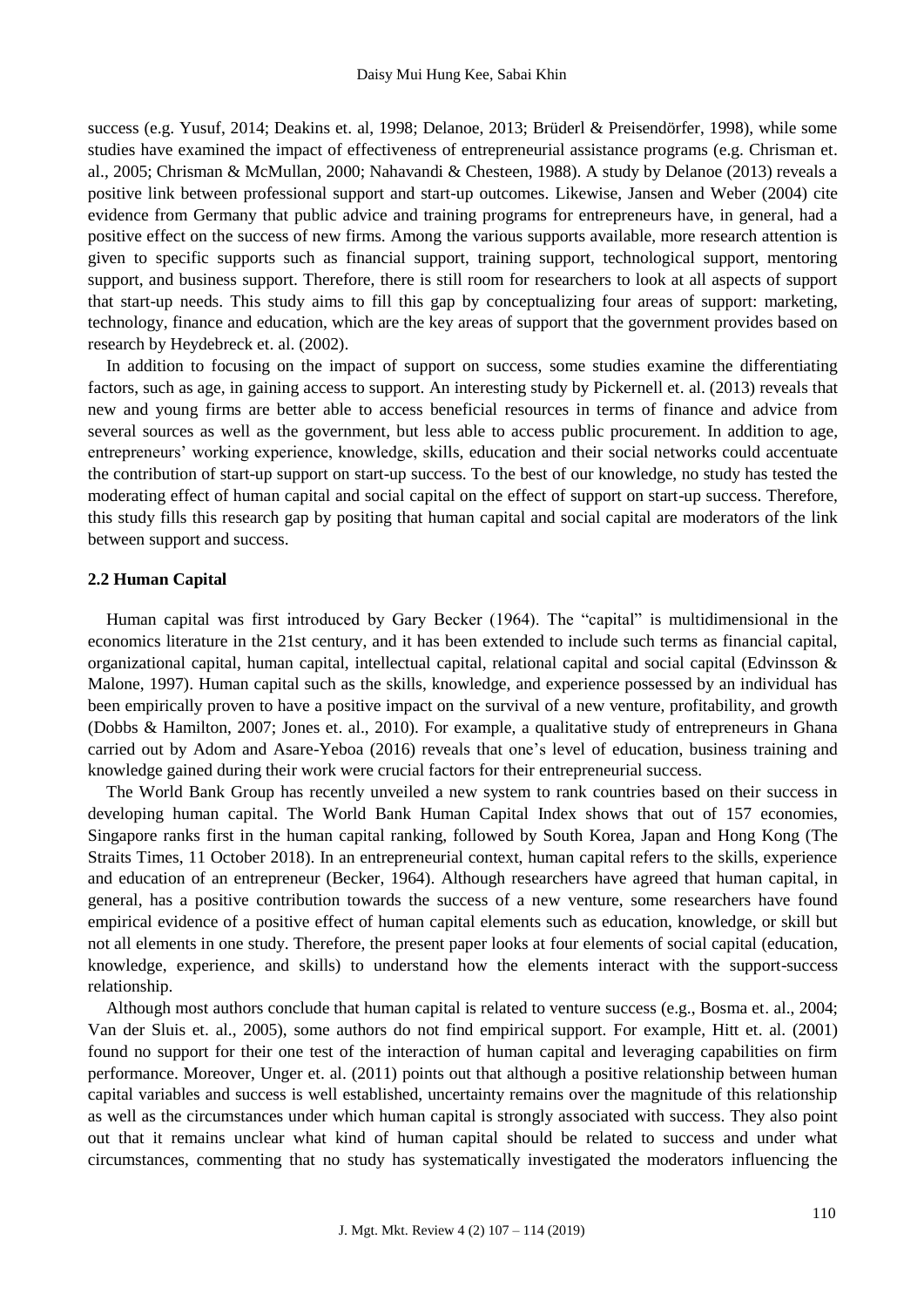success (e.g. Yusuf, 2014; Deakins et. al, 1998; Delanoe, 2013; Brüderl & Preisendörfer, 1998), while some studies have examined the impact of effectiveness of entrepreneurial assistance programs (e.g. Chrisman et. al., 2005; Chrisman & McMullan, 2000; Nahavandi & Chesteen, 1988). A study by Delanoe (2013) reveals a positive link between professional support and start-up outcomes. Likewise, Jansen and Weber (2004) cite evidence from Germany that public advice and training programs for entrepreneurs have, in general, had a positive effect on the success of new firms. Among the various supports available, more research attention is given to specific supports such as financial support, training support, technological support, mentoring support, and business support. Therefore, there is still room for researchers to look at all aspects of support that start-up needs. This study aims to fill this gap by conceptualizing four areas of support: marketing, technology, finance and education, which are the key areas of support that the government provides based on research by Heydebreck et. al. (2002).

In addition to focusing on the impact of support on success, some studies examine the differentiating factors, such as age, in gaining access to support. An interesting study by Pickernell et. al. (2013) reveals that new and young firms are better able to access beneficial resources in terms of finance and advice from several sources as well as the government, but less able to access public procurement. In addition to age, entrepreneurs' working experience, knowledge, skills, education and their social networks could accentuate the contribution of start-up support on start-up success. To the best of our knowledge, no study has tested the moderating effect of human capital and social capital on the effect of support on start-up success. Therefore, this study fills this research gap by positing that human capital and social capital are moderators of the link between support and success.

#### **2.2 Human Capital**

Human capital was first introduced by Gary Becker (1964). The "capital" is multidimensional in the economics literature in the 21st century, and it has been extended to include such terms as financial capital, organizational capital, human capital, intellectual capital, relational capital and social capital (Edvinsson & Malone, 1997). Human capital such as the skills, knowledge, and experience possessed by an individual has been empirically proven to have a positive impact on the survival of a new venture, profitability, and growth (Dobbs & Hamilton, 2007; Jones et. al., 2010). For example, a qualitative study of entrepreneurs in Ghana carried out by Adom and Asare-Yeboa (2016) reveals that one's level of education, business training and knowledge gained during their work were crucial factors for their entrepreneurial success.

The World Bank Group has recently unveiled a new system to rank countries based on their success in developing human capital. The World Bank Human Capital Index shows that out of 157 economies, Singapore ranks first in the human capital ranking, followed by South Korea, Japan and Hong Kong (The Straits Times, 11 October 2018). In an entrepreneurial context, human capital refers to the skills, experience and education of an entrepreneur (Becker, 1964). Although researchers have agreed that human capital, in general, has a positive contribution towards the success of a new venture, some researchers have found empirical evidence of a positive effect of human capital elements such as education, knowledge, or skill but not all elements in one study. Therefore, the present paper looks at four elements of social capital (education, knowledge, experience, and skills) to understand how the elements interact with the support-success relationship.

Although most authors conclude that human capital is related to venture success (e.g., Bosma et. al., 2004; Van der Sluis et. al., 2005), some authors do not find empirical support. For example, Hitt et. al. (2001) found no support for their one test of the interaction of human capital and leveraging capabilities on firm performance. Moreover, Unger et. al. (2011) points out that although a positive relationship between human capital variables and success is well established, uncertainty remains over the magnitude of this relationship as well as the circumstances under which human capital is strongly associated with success. They also point out that it remains unclear what kind of human capital should be related to success and under what circumstances, commenting that no study has systematically investigated the moderators influencing the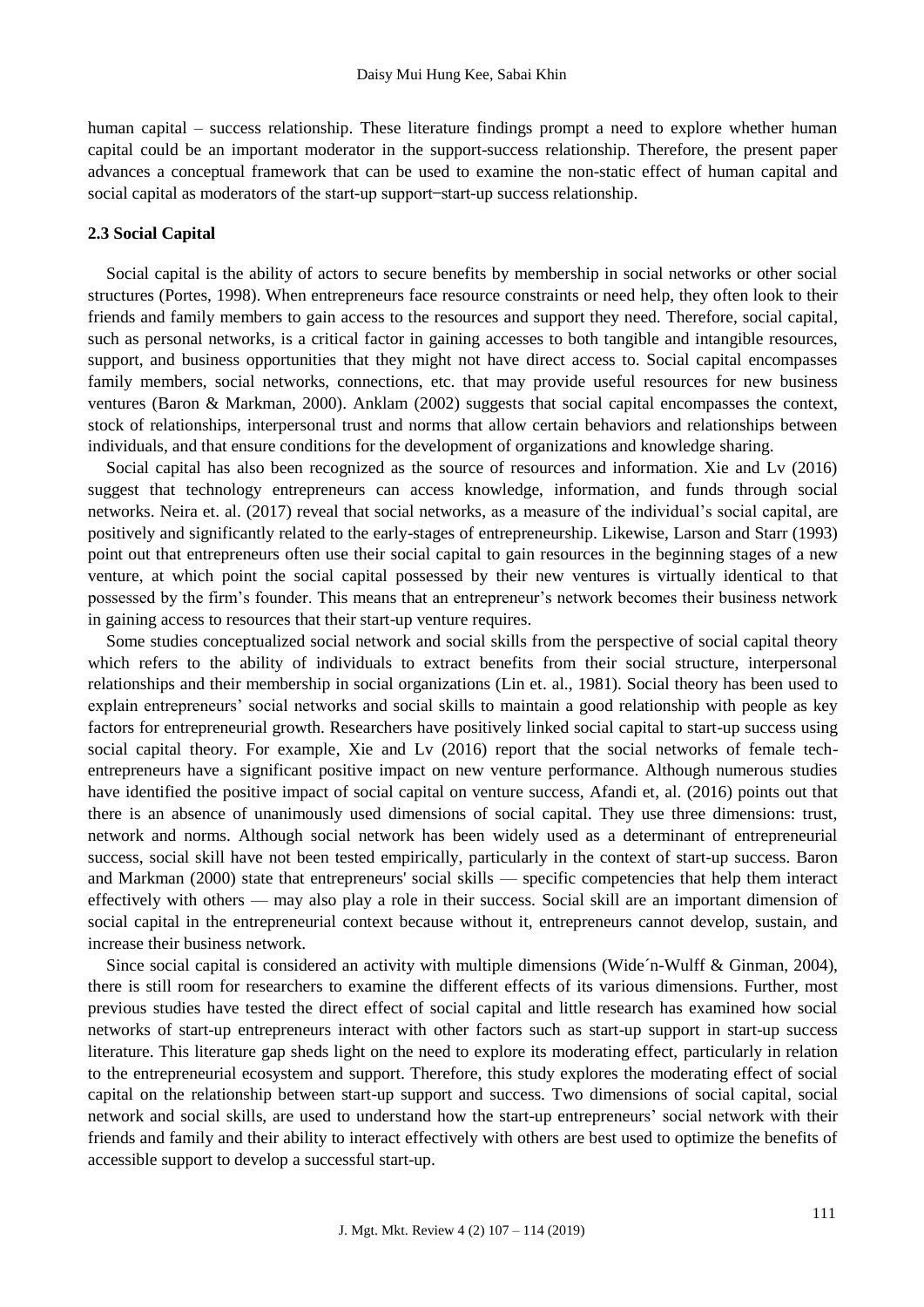human capital – success relationship. These literature findings prompt a need to explore whether human capital could be an important moderator in the support-success relationship. Therefore, the present paper advances a conceptual framework that can be used to examine the non-static effect of human capital and social capital as moderators of the start-up support-start-up success relationship.

#### **2.3 Social Capital**

Social capital is the ability of actors to secure benefits by membership in social networks or other social structures (Portes, 1998). When entrepreneurs face resource constraints or need help, they often look to their friends and family members to gain access to the resources and support they need. Therefore, social capital, such as personal networks, is a critical factor in gaining accesses to both tangible and intangible resources, support, and business opportunities that they might not have direct access to. Social capital encompasses family members, social networks, connections, etc. that may provide useful resources for new business ventures (Baron & Markman, 2000). Anklam (2002) suggests that social capital encompasses the context, stock of relationships, interpersonal trust and norms that allow certain behaviors and relationships between individuals, and that ensure conditions for the development of organizations and knowledge sharing.

Social capital has also been recognized as the source of resources and information. Xie and Lv (2016) suggest that technology entrepreneurs can access knowledge, information, and funds through social networks. Neira et. al. (2017) reveal that social networks, as a measure of the individual's social capital, are positively and significantly related to the early-stages of entrepreneurship. Likewise, Larson and Starr (1993) point out that entrepreneurs often use their social capital to gain resources in the beginning stages of a new venture, at which point the social capital possessed by their new ventures is virtually identical to that possessed by the firm's founder. This means that an entrepreneur's network becomes their business network in gaining access to resources that their start-up venture requires.

Some studies conceptualized social network and social skills from the perspective of social capital theory which refers to the ability of individuals to extract benefits from their social structure, interpersonal relationships and their membership in social organizations (Lin et. al., 1981). Social theory has been used to explain entrepreneurs' social networks and social skills to maintain a good relationship with people as key factors for entrepreneurial growth. Researchers have positively linked social capital to start-up success using social capital theory. For example, Xie and Lv (2016) report that the social networks of female techentrepreneurs have a significant positive impact on new venture performance. Although numerous studies have identified the positive impact of social capital on venture success. Afandi et, al. (2016) points out that there is an absence of unanimously used dimensions of social capital. They use three dimensions: trust, network and norms. Although social network has been widely used as a determinant of entrepreneurial success, social skill have not been tested empirically, particularly in the context of start-up success. Baron and Markman (2000) state that entrepreneurs' social skills — specific competencies that help them interact effectively with others — may also play a role in their success. Social skill are an important dimension of social capital in the entrepreneurial context because without it, entrepreneurs cannot develop, sustain, and increase their business network.

Since social capital is considered an activity with multiple dimensions (Wide´n-Wulff & Ginman, 2004), there is still room for researchers to examine the different effects of its various dimensions. Further, most previous studies have tested the direct effect of social capital and little research has examined how social networks of start-up entrepreneurs interact with other factors such as start-up support in start-up success literature. This literature gap sheds light on the need to explore its moderating effect, particularly in relation to the entrepreneurial ecosystem and support. Therefore, this study explores the moderating effect of social capital on the relationship between start-up support and success. Two dimensions of social capital, social network and social skills, are used to understand how the start-up entrepreneurs' social network with their friends and family and their ability to interact effectively with others are best used to optimize the benefits of accessible support to develop a successful start-up.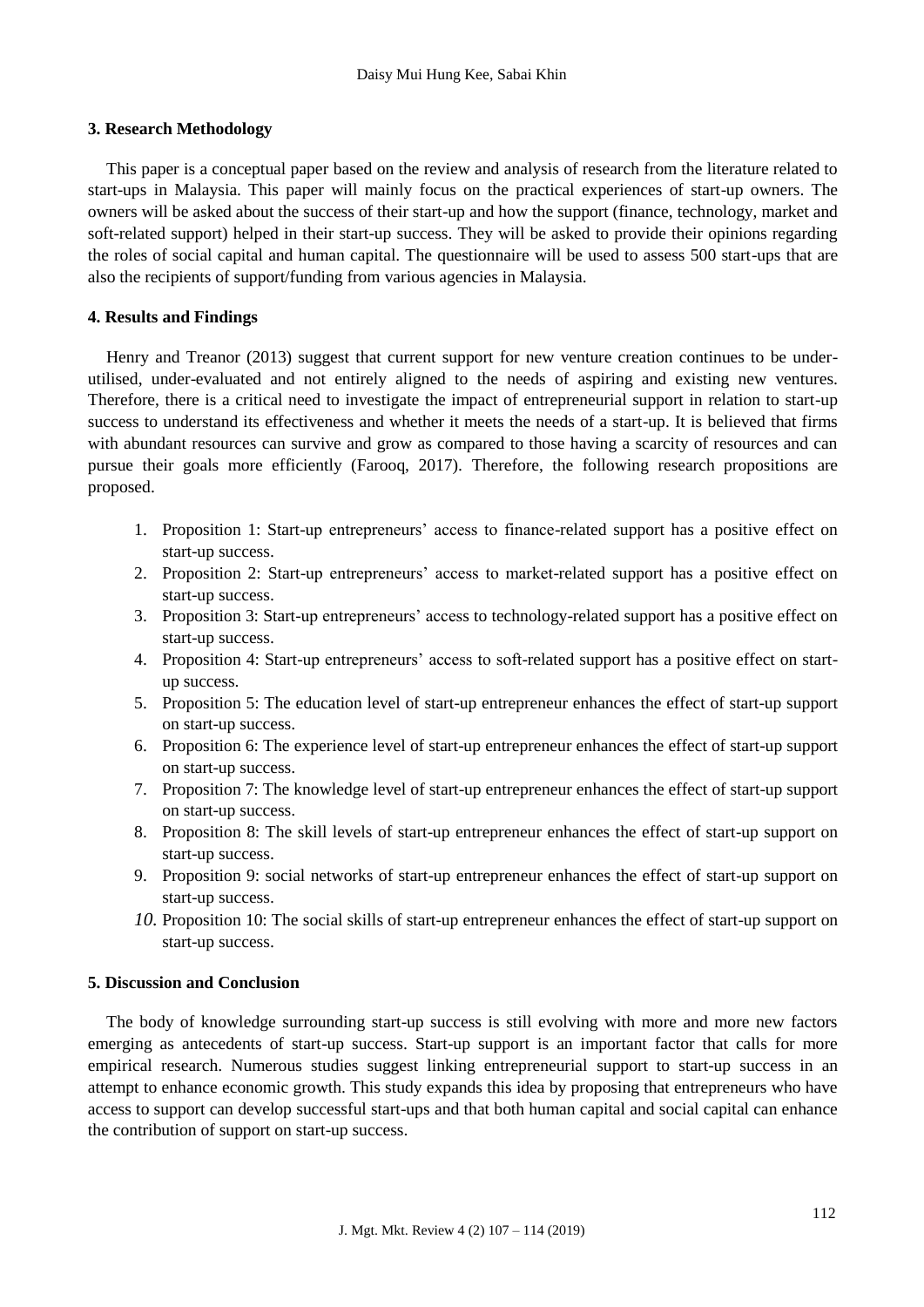### **3. Research Methodology**

This paper is a conceptual paper based on the review and analysis of research from the literature related to start-ups in Malaysia. This paper will mainly focus on the practical experiences of start-up owners. The owners will be asked about the success of their start-up and how the support (finance, technology, market and soft-related support) helped in their start-up success. They will be asked to provide their opinions regarding the roles of social capital and human capital. The questionnaire will be used to assess 500 start-ups that are also the recipients of support/funding from various agencies in Malaysia.

## **4. Results and Findings**

Henry and Treanor (2013) suggest that current support for new venture creation continues to be underutilised, under-evaluated and not entirely aligned to the needs of aspiring and existing new ventures. Therefore, there is a critical need to investigate the impact of entrepreneurial support in relation to start-up success to understand its effectiveness and whether it meets the needs of a start-up. It is believed that firms with abundant resources can survive and grow as compared to those having a scarcity of resources and can pursue their goals more efficiently (Farooq, 2017). Therefore, the following research propositions are proposed.

- 1. Proposition 1: Start-up entrepreneurs' access to finance-related support has a positive effect on start-up success.
- 2. Proposition 2: Start-up entrepreneurs' access to market-related support has a positive effect on start-up success.
- 3. Proposition 3: Start-up entrepreneurs' access to technology-related support has a positive effect on start-up success.
- 4. Proposition 4: Start-up entrepreneurs' access to soft-related support has a positive effect on startup success.
- 5. Proposition 5: The education level of start-up entrepreneur enhances the effect of start-up support on start-up success.
- 6. Proposition 6: The experience level of start-up entrepreneur enhances the effect of start-up support on start-up success.
- 7. Proposition 7: The knowledge level of start-up entrepreneur enhances the effect of start-up support on start-up success.
- 8. Proposition 8: The skill levels of start-up entrepreneur enhances the effect of start-up support on start-up success.
- 9. Proposition 9: social networks of start-up entrepreneur enhances the effect of start-up support on start-up success.
- *10.* Proposition 10: The social skills of start-up entrepreneur enhances the effect of start-up support on start-up success.

## **5. Discussion and Conclusion**

The body of knowledge surrounding start-up success is still evolving with more and more new factors emerging as antecedents of start-up success. Start-up support is an important factor that calls for more empirical research. Numerous studies suggest linking entrepreneurial support to start-up success in an attempt to enhance economic growth. This study expands this idea by proposing that entrepreneurs who have access to support can develop successful start-ups and that both human capital and social capital can enhance the contribution of support on start-up success.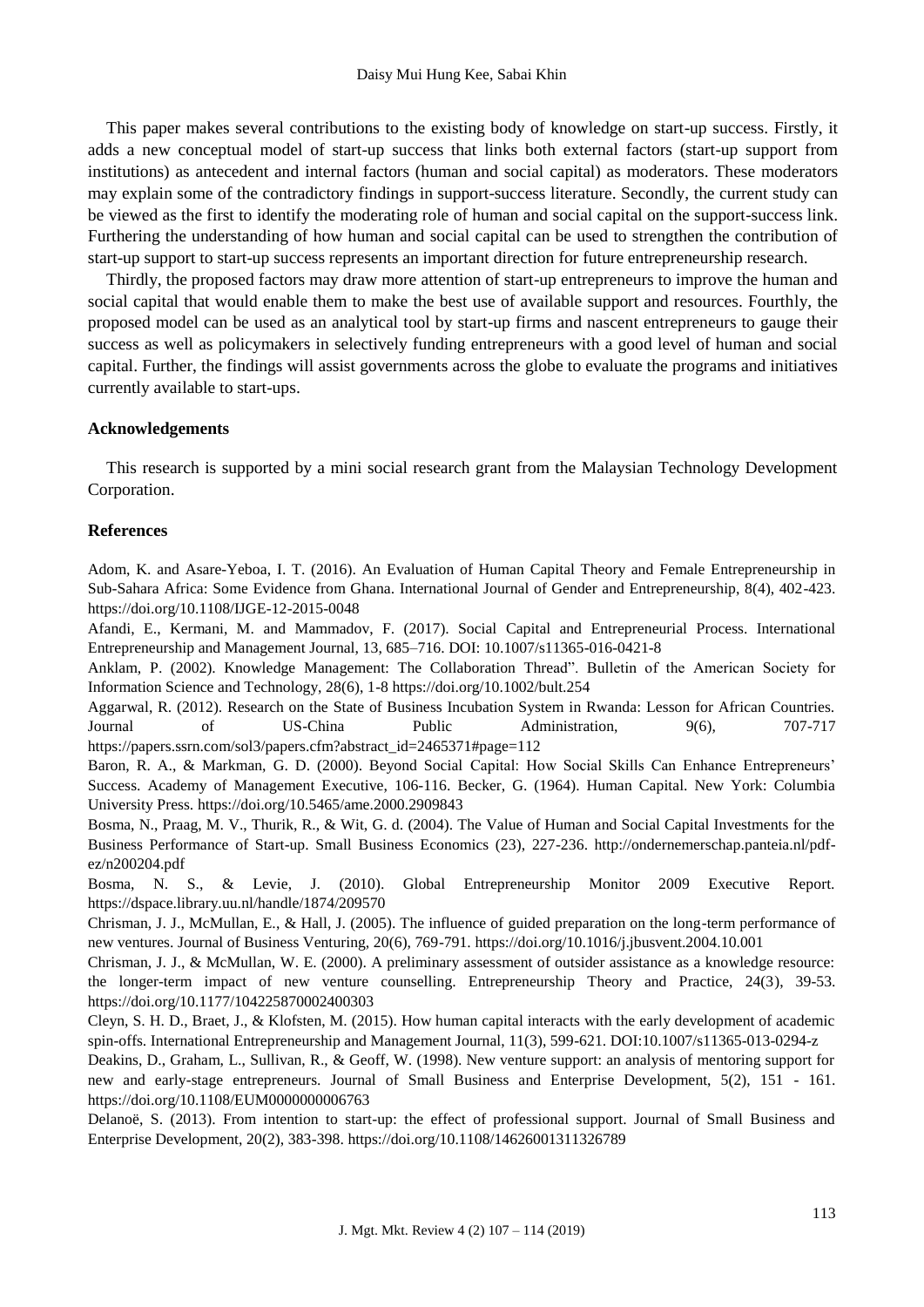This paper makes several contributions to the existing body of knowledge on start-up success. Firstly, it adds a new conceptual model of start-up success that links both external factors (start-up support from institutions) as antecedent and internal factors (human and social capital) as moderators. These moderators may explain some of the contradictory findings in support-success literature. Secondly, the current study can be viewed as the first to identify the moderating role of human and social capital on the support-success link. Furthering the understanding of how human and social capital can be used to strengthen the contribution of start-up support to start-up success represents an important direction for future entrepreneurship research.

Thirdly, the proposed factors may draw more attention of start-up entrepreneurs to improve the human and social capital that would enable them to make the best use of available support and resources. Fourthly, the proposed model can be used as an analytical tool by start-up firms and nascent entrepreneurs to gauge their success as well as policymakers in selectively funding entrepreneurs with a good level of human and social capital. Further, the findings will assist governments across the globe to evaluate the programs and initiatives currently available to start-ups.

#### **Acknowledgements**

This research is supported by a mini social research grant from the Malaysian Technology Development Corporation.

#### **References**

Adom, K. and Asare-Yeboa, I. T. (2016). An Evaluation of Human Capital Theory and Female Entrepreneurship in Sub-Sahara Africa: Some Evidence from Ghana. International Journal of Gender and Entrepreneurship, 8(4), 402-423. https://doi.org/10.1108/IJGE-12-2015-0048

Afandi, E., Kermani, M. and Mammadov, F. (2017). Social Capital and Entrepreneurial Process. International Entrepreneurship and Management Journal, 13, 685–716. DOI: 10.1007/s11365-016-0421-8

Anklam, P. (2002). Knowledge Management: The Collaboration Thread". Bulletin of the American Society for Information Science and Technology, 28(6), 1-8 https://doi.org/10.1002/bult.254

Aggarwal, R. (2012). Research on the State of Business Incubation System in Rwanda: Lesson for African Countries. Journal of US-China Public Administration, 9(6), 707-717 https://papers.ssrn.com/sol3/papers.cfm?abstract\_id=2465371#page=112

Baron, R. A., & Markman, G. D. (2000). Beyond Social Capital: How Social Skills Can Enhance Entrepreneurs' Success. Academy of Management Executive, 106-116. Becker, G. (1964). Human Capital. New York: Columbia University Press. https://doi.org/10.5465/ame.2000.2909843

Bosma, N., Praag, M. V., Thurik, R., & Wit, G. d. (2004). The Value of Human and Social Capital Investments for the Business Performance of Start-up. Small Business Economics (23), 227-236. http://ondernemerschap.panteia.nl/pdfez/n200204.pdf

Bosma, N. S., & Levie, J. (2010). Global Entrepreneurship Monitor 2009 Executive Report. <https://dspace.library.uu.nl/handle/1874/209570>

Chrisman, J. J., McMullan, E., & Hall, J. (2005). The influence of guided preparation on the long-term performance of new ventures. Journal of Business Venturing, 20(6), 769-791. https://doi.org/10.1016/j.jbusvent.2004.10.001

Chrisman, J. J., & McMullan, W. E. (2000). A preliminary assessment of outsider assistance as a knowledge resource: the longer-term impact of new venture counselling. Entrepreneurship Theory and Practice, 24(3), 39-53. https://doi.org/10.1177/104225870002400303

Cleyn, S. H. D., Braet, J., & Klofsten, M. (2015). How human capital interacts with the early development of academic spin-offs. International Entrepreneurship and Management Journal, 11(3), 599-621. DOI:10.1007/s11365-013-0294-z

Deakins, D., Graham, L., Sullivan, R., & Geoff, W. (1998). New venture support: an analysis of mentoring support for new and early-stage entrepreneurs. Journal of Small Business and Enterprise Development, 5(2), 151 - 161. https://doi.org/10.1108/EUM0000000006763

Delanoë, S. (2013). From intention to start-up: the effect of professional support. Journal of Small Business and Enterprise Development, 20(2), 383-398. https://doi.org/10.1108/14626001311326789